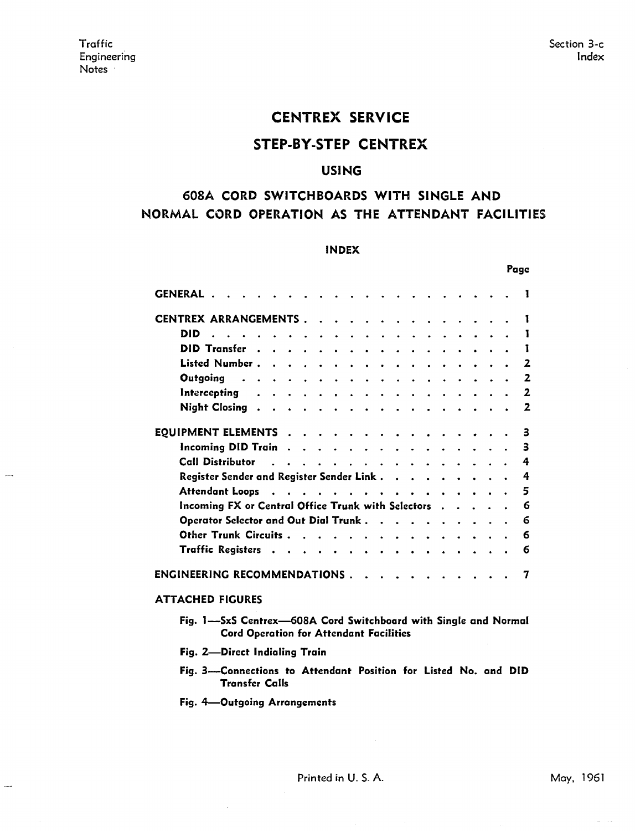.<br>......

# CENTREX SERVICE

## STEP-BY-STEP CENTREX

## USING

# 608A CORD SWITCHBOARDS WITH SINGLE AND NORMAL CORD OPERATION AS THE ATTENDANT FACILITIES

#### INDEX

|                                                                                                                                                                     | Page |
|---------------------------------------------------------------------------------------------------------------------------------------------------------------------|------|
| <b>GENERAL</b>                                                                                                                                                      |      |
| <b>CENTREX ARRANGEMENTS.</b>                                                                                                                                        |      |
| DID                                                                                                                                                                 | 1    |
| <b>DID Transfer</b>                                                                                                                                                 | L    |
| Listed Number.<br>$\ddot{\phantom{a}}$                                                                                                                              | 2    |
| Outgoing                                                                                                                                                            | 2    |
| Intercepting<br>$\bullet$                                                                                                                                           | 2    |
| <b>Night Closing</b><br>$\ddot{\phantom{0}}$                                                                                                                        | 2    |
| <b>EQUIPMENT ELEMENTS</b>                                                                                                                                           | 3    |
| <b>Incoming DID Train</b><br>$\ddot{\phantom{1}}$<br>$\ddot{\phantom{0}}$<br>$\bullet$                                                                              | 3    |
| Call Distributor<br>$\mathbf{r}$<br>$\ddot{\phantom{a}}$                                                                                                            | 4    |
| Register Sender and Register Sender Link.                                                                                                                           | 4    |
| <b>Attendant Loops</b><br>$\sim$<br><b><i>Contract Contract Contract</i></b><br>$\mathbf{A}$ and $\mathbf{A}$<br>$\ddot{\bullet}$ $\ddot{\bullet}$ $\ddot{\bullet}$ | 5    |
| Incoming FX or Central Office Trunk with Selectors                                                                                                                  | 6    |
| Operator Selector and Out Dial Trunk.                                                                                                                               | 6    |
| <b>Other Trunk Circuits.</b>                                                                                                                                        | 6    |
| Traffic Registers<br>$\ddot{\phantom{0}}$                                                                                                                           | 6    |
| <b>ENGINEERING RECOMMENDATIONS.</b>                                                                                                                                 |      |
| ATTAPUER EIPIIDEC                                                                                                                                                   |      |

## ATTACHED FIGURES

- Fig. 1-SxS Centrex-608A Cord Switchboard with Single and Normal Cord Operation for Attendant Facilities
- Fig. 2-Direct Indialing Train
- Fig. 3-Connections to Attendant Position for Listed No. and DID Transfer Calls
- Fig. 4-Outgoing Arrangements

 $\omega = \omega/\omega$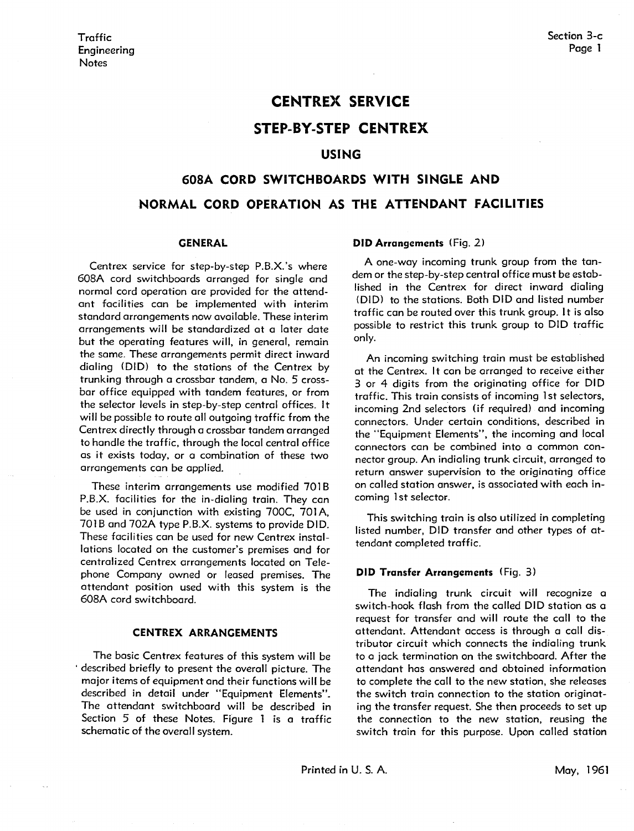## **CENTREX SERVICE**

## **STEP-BY-STEP CENTREX**

### **USING**

# **608A CORD SWITCHBOARDS WITH SINGLE AND NORMAL CORD OPERATION AS THE ATTENDANT FACILITIES**

#### **GENERAL**

Centrex service for step-by-step P.B.X.'s where 608A cord switchboards arranged for single and normal cord operation are provided for the attendant facilities can be implemented with interim standard arrangements now available. These interim arrangements will be standardized at a later date but the operating features will, in general, remain the same. These arrangements permit direct inward dialing (DID) to the stations of the Centrex by trunking through a crossbar tandem, a No. 5 crossbar office equipped with tandem features, or from the selector levels in step-by-step central offices. It will be possible to route all outgoing traffic from the Centrex directly through a crossbar tandem arranged to handle the traffic, through the local central office as it exists today, or a combination of these two arrangements can be applied.

These interim arrangements use modified 701B P.B.X. facilities for the in-dialing train. They can be used in conjunction with existing 700C, 701A, 701B and 702A type P.B.X. systems to provide DID. These facilities can be used for new Centrex installations located on the customer's premises and for centralized Centrex arrangements located on Telephone Company owned or leased premises. The attendant position used with this system is the 608A cord switchboard.

#### **CENTREX ARRANGEMENTS**

The basic Centrex features of this system will be · described briefly to present the overall picture. The major items of equipment and their functions will be described in detail under "Equipment Elements". The attendant switchboard will be described in Section 5 of these Notes. Figure 1 is a traffic schematic of the overall system.

#### **DID Arrangements** (Fig. 2)

A one-way incoming trunk group from the tandem or the step-by-step central office must be established in the Centrex for direct inward dialing (DID) to the stations. Both DID and listed number traffic can be routed over this trunk group. It is also possible to restrict this trunk group to DID traffic only.

An incoming switching train must be established at the Centrex. It can be arranged to receive either 3 or 4 digits from the originating office for DID traffic. This train consists of incoming 1st selectors, incoming 2nd selectors (if required) and incoming connectors. Under certain conditions, described in the "Equipment Elements", the incoming and local connectors can be combined into a common connector group. An indialing trunk circuit, arranged to return answer supervision to the originating office on called station answer, is associated with each incoming 1st selector.

This switching train is also utilized in completing listed number, DID transfer and other types of attendant completed traffic.

#### **DID Transfer Arrangements** (Fig. 3)

The indialing trunk circuit will recognize a switch-hook flash from the called DID station as a request for transfer and will route the call to the attendant. Attendant access is through a call distributor circuit which connects the indialing trunk to o jack termination on the switchboard. After the attendant has answered and obtained information to complete the call to the new station, she releases the switch train connection to the station originating the transfer request. She then proceeds to set up the connection to the new station, reusing the switch train for this purpose. Upon called station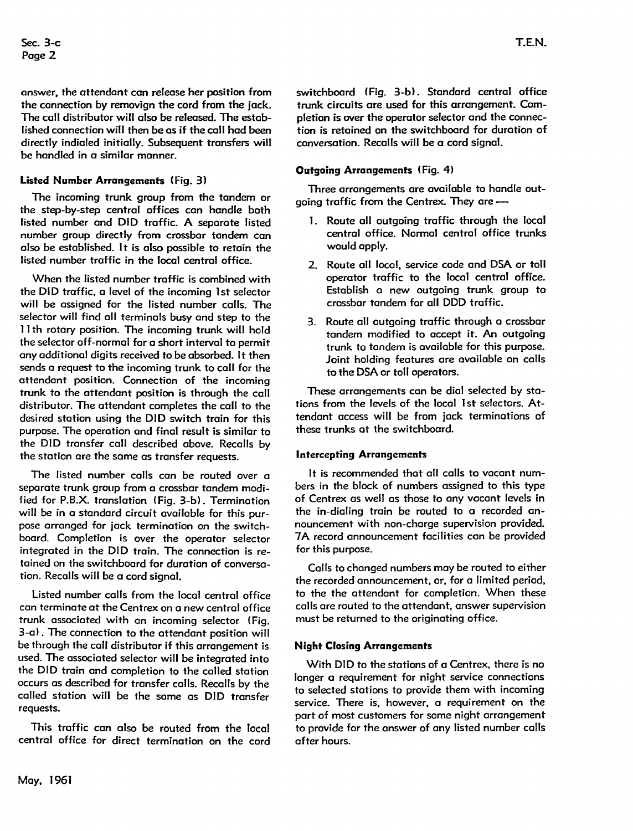answer, the attendant can release her position from the connection by removign the cord from the jack. The coll distributor will also be released. The estoblished connection will then be as if the call had been directly indioled initially. Subsequent transfers will be handled in a similar manner.

### **Listed Number Arrangements** (Fig. 3)

The incoming trunk group from the tandem or the step-by-step central offices con handle both listed number and DID traffic. A separate listed number group directly from crossbar tandem can also be established. It is also possible to retain the listed number traffic in the local central office.

When the listed number traffic is combined with the DID traffic, a level of the incoming 1st selector will be assigned for the listed number calls. The selector will find all terminals busy and step to the 11th rotary position. The incoming trunk will hold the selector off-normal for a short interval to permit any additional digits received to be absorbed. It then sends a request to the incoming trunk to coll for the attendant position. Connection of the incoming trunk to the attendant position is through the call distributor. The attendant completes the coll to the desired station using the DID switch train for this purpose. The operation and final result is similar to the DID transfer call described above. Recalls by the station ore the some as transfer requests.

The listed number calls con be routed over a separate trunk group from a crossbar tandem modified for P.B.X. translation (Fig. 3-b). Termination will be in a standard circuit available for this purpose arranged for jack termination on the switchboard. Completion is over the operator selector integrated in the DID train. The connection is retained on the switchboard for duration of conversation. Recalls will be a cord signal.

Listed number calls from the local central office can terminate at the Centrex on a new central office trunk associated with on incoming selector ( Fig. 3-a). The connection to the attendant position will be through the coll distributor if this arrangement is used. The associated selector will be integrated into the DID train and completion to the coiled station occurs as described for transfer calls. Recalls by the called station will be the same as DID transfer requests.

This traffic can also be routed from the local central office for direct termination on the cord switchboard (Fig. 3-b). Standard central office trunk circuits are used for this arrangement. Completion is over the operator selector and the connection is retained on the switchboard for duration of conversation. Recalls will be a cord signal.

### **Outgoing Arrangements** (Fig. 4)

Three arrangements are available to handle outgoing traffic from the Centrex. They are -

- 1. Route all outgoing traffic through the local central office. Normal central office trunks would apply.
- 2. Route all local, service code and DSA or toll operator traffic to the local central office. Establish a new outgoing trunk group to crossbar tandem for all DDD traffic.
- 3. Route all outgoing traffic through a crossbar tandem modified to accept it. An outgoing trunk to tandem is available for this purpose. Joint holding features are available on calls to the DSA er toll operators.

These arrangements con be dial selected by stations from the levels of the local 1st selectors. Attendant access will be from jack terminations of these trunks at the switchboard.

#### **Intercepting Arrangements**

It is recommended that all calls to vacant numbers in the block of numbers assigned to this type of Centrex as well as those to any vacant levels in the in-dialing train be routed to a recorded announcement with non-charge supervision provided. 7A record announcement facilities can be provided for this purpose.

Calls to changed numbers may be routed to either the recorded announcement, or, for a limited period, to the the attendant for completion. When these calls are routed to the attendant, answer supervision must be returned to the originating office.

#### **Night Closing Arrangements**

With DID to the stations of a Centrex, there is no longer a requirement for night service connections to selected stations to provide them with incoming service. There is, however, a requirement on the part of most customers for some night arrangement to provide for the answer of any listed number calls ofter hours.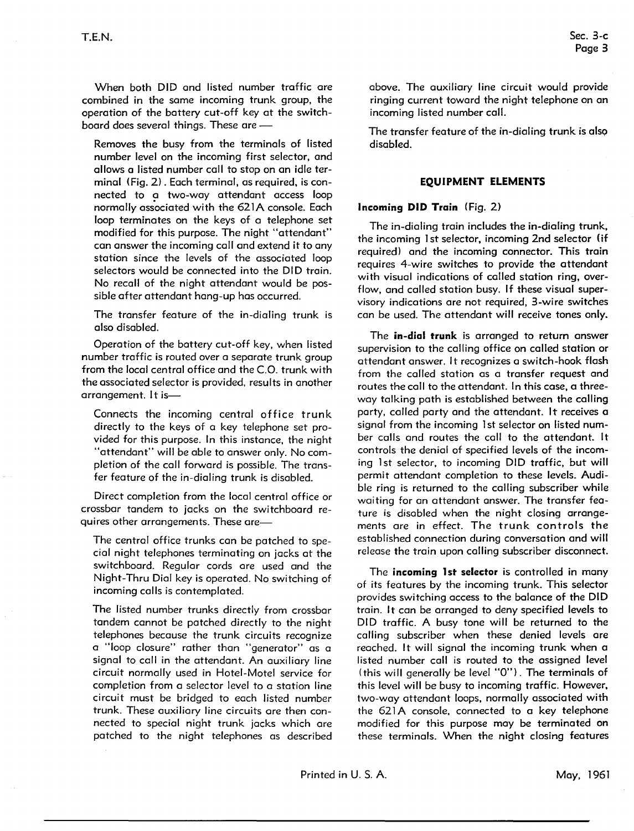When both DID and listed number traffic are combined in the same incoming trunk group, the operation of the battery cut-off key at the switchboard does several things. These are -

Removes the busy from the terminals of listed number level on the incoming first selector, and allows a listed number call to stop on an idle terminal (Fig. 2). Each terminal, as required, is connected to a two-way attendant access loop normally associated with the 621A console. Each loop terminates on the keys of a telephone set modified for this purpose. The night "attendant" can answer the incoming call and extend it to any station since the levels of the associated loop selectors would be connected into the DID train. No recall of the night attendant would be possible after attendant hang-up has occurred.

The transfer feature of the in-dialing trunk is also disabled.

Operation of the battery cut-off key, when listed number traffic is routed over a separate trunk group from the local central office and the C.O. trunk with the associated selector is provided, results in another arrangement. It is-

Connects the incoming central office trunk directly to the keys of a key telephone set provided for this purpose. In this instance, the night "attendant" will be able to answer only. No completion of the call forward is possible. The transfer feature of the in-dialing trunk is disabled.

Direct completion from the local central office or crossbar tandem to jacks on the switchboard requires other arrangements. These are-

The central office trunks can be patched to special night telephones terminating on jacks at the switchboard. Regular cords are used and the Night-Thru Dial key is operated. No switching of incoming calls is contemplated.

The listed number trunks directly from crossbar tandem cannot be patched directly to the night telephones because the trunk circuits recognize a "loop closure" rather than "generator" as a signal to call in the attendant. **An** auxiliary line circuit normally used in Hotel-Motel service for completion from a selector level to a station line circuit must be bridged to each listed number trunk. These auxiliary line circuits are then connected to special night trunk jacks which are patched to the night telephones as described above. The auxiliary line circuit would provide ringing current toward the night telephone on an incoming listed number call.

The transfer feature of the in-dialing trunk is also disabled.

#### **EQUIPMENT ELEMENTS**

#### **Incoming DID Train** (Fig. 2)

The in-dialing train includes the in-dialing trunk, the incoming 1st selector, incoming 2nd selector (if required) and the incoming connector. This train requires 4-wire switches to provide the attendant with visual indications of called station ring, overflow, and called station busy. If these visual supervisory indications are not required, 3-wire switches can be used. The attendant will receive tones only.

The **in-dial trunk** is arranged to return answer supervision to the calling office on called station or attendant answer. It recognizes a switch-hook flash from the called station as a transfer request and routes the call to the attendant. In this case, a threeway talking path is established between the calling party, called party and the attendant. It receives a signal from the incoming 1st selector on listed number calls and routes the call to the attendant. It controls the denial of specified levels of the incoming 1st selector, to incoming DID traffic, but will permit attendant completion to these levels. **Audi**ble ring is returned to the calling subscriber while waiting for an attendant answer. The transfer feature is disabled when the night closing arrangements are in effect. The trunk controls the established connection during conversation and will release the train upon calling subscriber disconnect.

The **incoming 1st selector** is controlled in many of its features by the incoming trunk. This selector provides switching access to the balance of the DID train. It can be arranged to deny specified levels to DID traffic. A busy tone will be returned to the calling subscriber when these denied levels are reached. It will signal the incoming trunk when a listed number call is routed to the assigned level ( this wi II generally be level "O"). The terminals of this level will be busy to incoming traffic. However, two-way attendant loops, normally associated with the 621A console, connected to a key telephone modified for this purpose may be terminated on these terminals. When the night closing features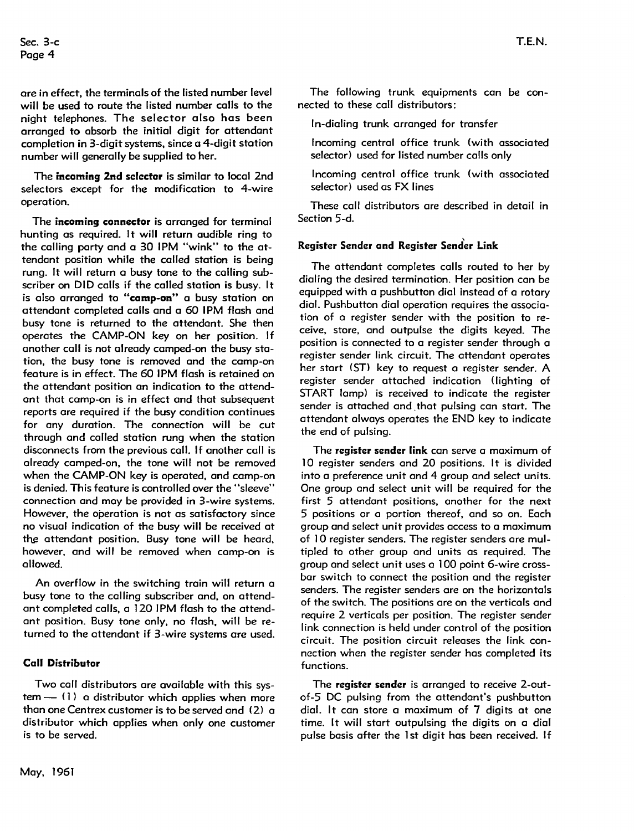ore in effect, the terminals of the listed number level will be used to route the listed number calls to the night telephones. The selector also hos been arranged to absorb the initial digit for attendant completion in 3-digit systems, since a 4-digit station number will generally be supplied to her.

The **incoming 2nd selector** is similar to local 2nd selectors except for the modification to 4-wire operation.

The **incoming connector** is arranged for terminal hunting as required. It will return audible ring to the colling party and a 30 1PM "wink" to the attendant position while the called station is being rung. It will return a busy tone to the calling subscriber on DID calls if the called station is busy. It is also arranged to **"camp-on"** a busy station on attendant completed calls and a 60 IPM flash and busy tone is returned to the attendant. She then operates the CAMP-ON key on her position. If another call is not already camped-on the busy station, the busy tone is removed and the camp-on feature is in effect. The 60 IPM flash is retained on the attendant position on indication to the attendant that comp-on is in effect and that subsequent reports ore required if the busy condition continues for any duration. The connection will be cut through and called station rung when the station disconnects from the previous call. If another call is already comped-on, the tone will not be removed when the CAMP-ON key is operated, and camp-on is denied. This feature is controlled over the "sleeve" connection and may be provided in 3-wire systems. However, the operation is not as satisfactory since no visual indication of the busy will be received at the attendant position. Busy tone will be heard, however, and will be removed when comp-on is allowed.

An overflow in the switching train will return a busy tone to the colling subscriber and, on attendant completed calls, a 120 IPM flash to the attendant position. Busy tone only, no flash, will be returned to the attendant if 3-wire systems are used.

#### **Call Distributor**

Two call distributors are available with this sys $tem - (1)$  a distributor which applies when more than one Centrex customer is to be served and (2) a distributor which applies when only one customer is to be served.

In-dialing trunk arranged for transfer

nected to these call distributors:

- Incoming central office trunk (with associated selector) used for listed number calls only
- Incoming central office trunk (with associated selector) used as FX lines

These call distributors are described in detail in Section 5-d.

#### **Register Sender and Register Send'er Link**

The attendant completes calls routed to her by dialing the desired termination. Her position can be equipped with a pushbutton dial instead of a rotary dial. Pushbutton dial operation requires the association of a register sender with the position to receive, store, and outpulse the digits keyed. The position is connected to a register sender through a register sender link circuit. The attendant operates her start (ST) key to request a register sender. A register sender attached indication ( lighting of START lamp) is received to indicate the register sender is attached and. that pulsing can start. The attendant always operates the END key to indicate the end of pulsing.

The **register sender link** can serve a maximum of 10 register senders and 20 positions. It is divided into a preference unit and 4 group and select units. One group and select unit will be required for the first 5 attendant positions, another for the next 5 positions or a portion thereof, and so on. Each group and select unit provides access to a maximum of 10 register senders. The register senders are multipled to other group and units as required. The group and select unit uses a 100 point 6-wire crossbar switch to connect the position and the register senders. The register senders are on the horizontals of the switch. The positions are on the verticals and require 2 verticals per position. The register sender link connection is held under control of the position circuit. The position circuit releases the link connection when the register sender has completed its functions.

The **register sender** is arranged to receive 2-outof-5 DC pulsing from the attendant's pushbutton dial. It can store a maximum of 7 digits at one time. It will start outpulsing the digits on a dial pulse basis after the 1st digit has been received. If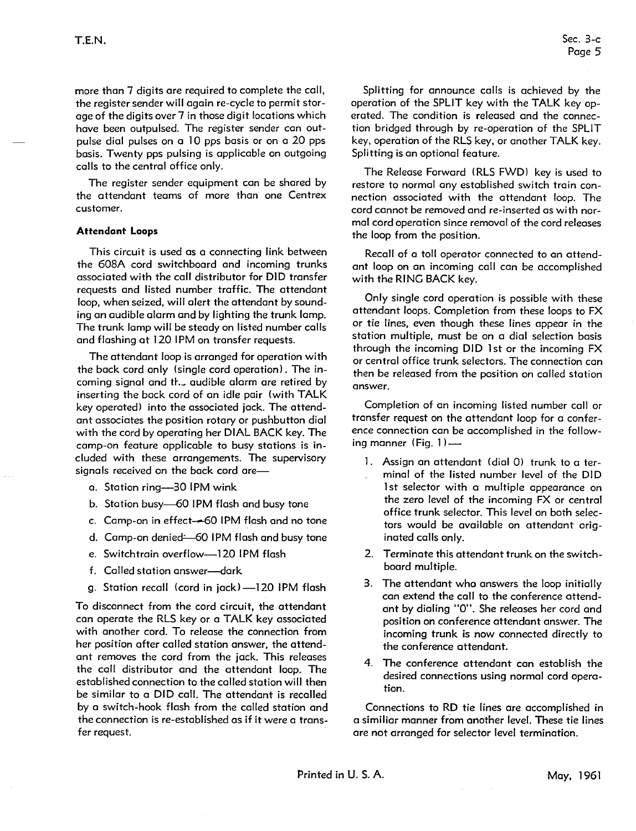Sec. 3-c Page 5

more than 7 digits are required to complete the call, the register sender will again re-cycle to permit storage of the digits over 7 in those digit locations which have been outpulsed. The register sender can outpulse dial pulses on a 10 pps basis or on a 20 pps basis. Twenty pps pulsing is applicable on outgoing calls to the central office only.

The register sender equipment can be shared by the attendant teams of more than one Centrex customer.

#### **Attendant Loops**

This circuit is used as a connecting link between the 608A cord switchboard and incoming trunks associated with the call distributor for DID transfer requests and listed number traffic. The attendant loop, when seized, will alert the attendant by sounding an audible alarm and by lighting the trunk lamp. The trunk lamp will be steady on listed number calls and flashing at 120 IPM on transfer requests.

The attendant loop is arranged for operation with the back cord only (single cord operation). The incoming signal and th... audible alarm are retired by inserting the back cord of an idle pair (with TALK key operated) into the associated jack. The attendant associates the position rotary or pushbutton dial with the cord by operating her DIAL BACK key. The camp-on feature applicable to busy stations is included with these arrangements. The supervisory signals received on the back cord are-

- a. Station ring-30 **1PM wink**
- b. Station busy-60 IPM flash and busy tone
- c. Camp-on in effect--60 IPM flash and no tone
- d. Camp-on denied: 60 IPM flash and busy tone
- e. Switchtrain overflow-120 IPM flash
- f. Called station answer-dark
- g. Station recall (cord in jack)-120 IPM flash

To disconnect from the cord circuit, the attendant can operate the RLS key or a TALK key associated with another cord. To release the connection from her position after called station answer, the attendant removes the cord from the jack. This releases the call distributor and the attendant loop. The established connection to the called station will then be similar to a DID call. The attendant is recalled by a switch-hook flash from the called station and the connection is re-established as if it were a transfer request.

Splitting for announce calls is achieved by the operation of the SPLIT key with the **TALK** key operated. The condition is released and the connection bridged through by re-operation of the SPLIT key, operation of the RLS key, or another TALK key. Splitting is an optional feature.

The Release Forward ( RLS FWD) key is used to restore to normal any established switch train connection associated with the attendant loop. The cord cannot be removed and re-inserted as with normal cord operation since removal of the cord releases the loop from the position.

Recall of a toll operator connected to an attendant loop on an incoming call can be accomplished with the RING BACK key.

Only single cord operation is possible with these attendant loops. Completion from these loops to FX or tie lines, even though these lines appear in the station multiple, must be on a dial selection basis through the incoming DID 1st or the incoming FX or central office trunk selectors. The connection can then be released from the position on called station answer.

Completion of an incoming listed number call or transfer request on the attendant loop for a conference connection can be accomplished in the following manner (Fig.  $1$ )  $-$ 

- 1. Assign an attendant (dial 0) trunk to a terminal of the listed number level of the DID l st selector with a multiple appearance on the zero level of the incoming FX or central office trunk selector. This level on both selectors would be available on attendant originated calls only.
- 2. Terminate this attendant trunk on the switchboard multiple.
- 3. The attendant who answers the loop initially can extend the call to the conference attendant by dialing "O". She releases her cord and position on conference attendant answer. The incoming trunk is now connected directly to the conference attendant.
- 4. The conference attendant can establish the desired connections using normal cord operation.

Connections to RD tie lines ore accomplished in a similiar manner from another level. These tie lines are not arranged for selector level termination.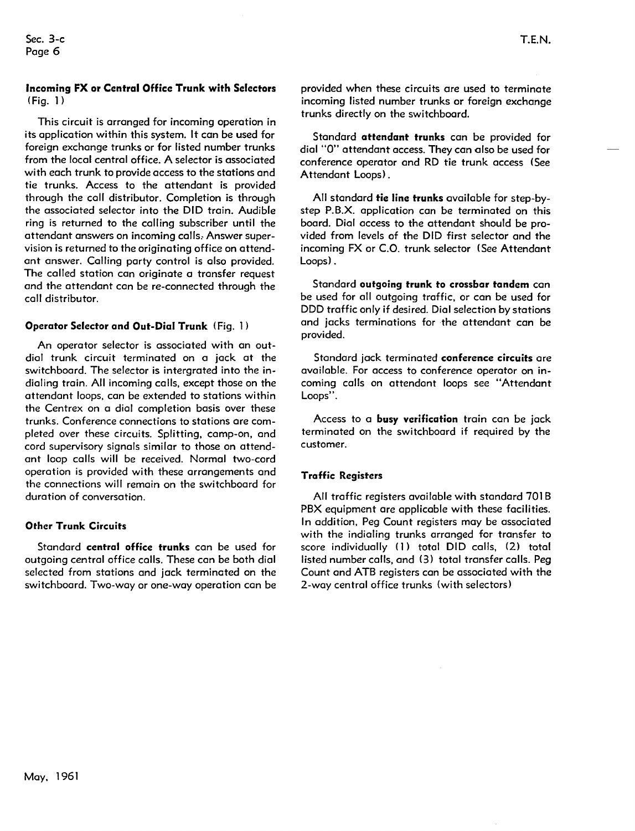### **Incoming FX or Central Office Trunk with Selectors**  (Fig. 1)

This circuit is arranged for incoming operation in its application within this system. It can be used for foreign exchange trunks or for listed number trunks from the local central office. A selector is associated with each trunk to provide access to the stations and tie trunks. Access to the attendant is provided through the coll distributor. Completion is through the associated selector into the DID train. Audible ring is returned to the colling subscriber until the attendant answers on incoming calls, **Answer** supervision is returned to the originating office on attendant answer. Calling party control is also provided. The called station con originate a transfer request and the attendant con be re-connected through the call distributor.

#### **Operator Selector and Out-Dial Trunk** ( Fig. 1 )

An operator selector is associated with an outdial trunk circuit terminated on a jack at the switchboard. The selector is intergrated into the indialing train. All incoming calls, except those on the attendant loops, can be extended to stations within the Centrex on a dial completion basis over these trunks. Conference connections to stations are completed over these circuits. Splitting, camp-on, and cord supervisory signals similar to those on attendant loop calls will be received. Normal two-cord operation is provided with these arrangements and the connections will remain on the switchboard for duration of conversation.

#### **Other Trunk Circuits**

Standard **central office trunks** can be used for outgoing central office calls. These con be both dial selected from stations and jack terminated on the switchboard. Two-way or one-way operation con be

Standard **attendant trunks** can be provided for dial "O" attendant access. They can also be used for conference operator and RD tie trunk access (See Attendant Loops) .

All standard **tie line trunks** available for step-bystep P.B.X. application can be terminated on this board. Dial access to the attendant should be provided from levels of the DID first selector and the incoming FX or C.O. trunk selector (See Attendant Loops).

Standard **outgoing trunk to crossbar tandem** can be used for all outgoing traffic, or can be used for DDD traffic only if desired. Dial selection by stations and jacks terminations for the attendant can be provided.

Standard jack terminated **conference circuits** are available. For access to conference operator on incoming calls on attendant loops see "Attendant Loops".

Access to a **busy verification** train can be jack terminated on the switchboard if required by the customer.

#### **Traffic Registers**

All traffic registers available with standard 701 B PBX equipment ore applicable with these facilities. In addition, Peg Count registers may be associated with the indialing trunks arranged for transfer to score individually (1) total DID calls, (2) total listed number calls, and (3) total transfer calls. Peg Count and ATB registers con be associated with the 2-way central office trunks (with selectors)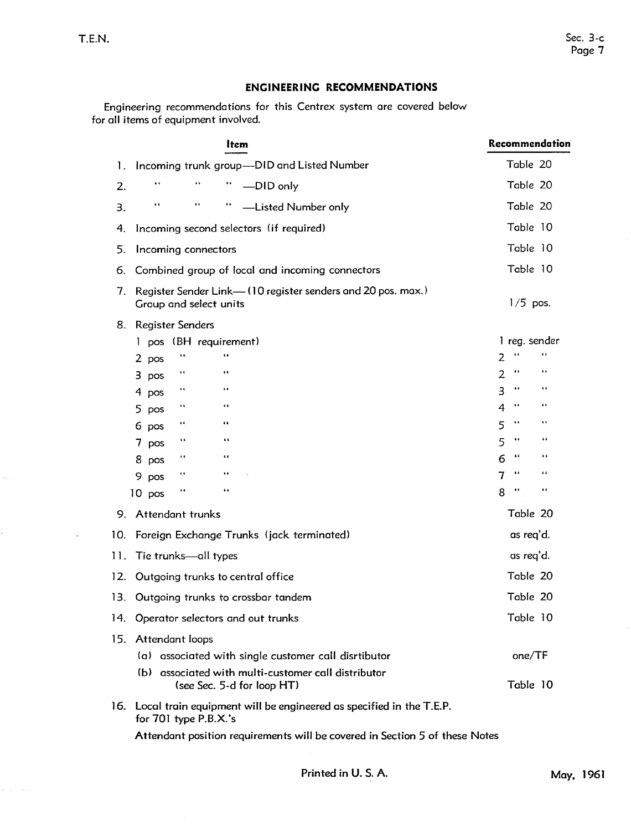ć,

 $\omega_{\rm{max}}$  and  $\omega_{\rm{max}}$ 

## **ENGINEERING RECOMMENDATIONS**

Engineering recommendations for this Centrex system are covered below for all items of equipment involved.

| Item                                                                                                        | Recommendation                                                            |
|-------------------------------------------------------------------------------------------------------------|---------------------------------------------------------------------------|
| Incoming trunk group-DID and Listed Number<br>1.                                                            | Table 20                                                                  |
| $\pmb{\epsilon}$<br>$\pmb{\epsilon}$<br>66<br>2.<br>-DID only                                               | Table 20                                                                  |
| $\pmb{\epsilon}\cdot\pmb{\epsilon}$<br>$\bullet$ $\bullet$<br>$\pmb{\epsilon}$<br>-Listed Number only<br>3. | Table 20                                                                  |
| Incoming second selectors (if required)<br>4.                                                               | Table 10                                                                  |
| 5.<br>Incoming connectors                                                                                   | Table 10                                                                  |
| Combined group of local and incoming connectors<br>6.                                                       | Table 10                                                                  |
| Register Sender Link-(10 register senders and 20 pos. max.)<br>7.<br>Group and select units                 | $1/5$ pos.                                                                |
| Register Senders<br>8.                                                                                      |                                                                           |
| 1 pos (BH requirement)                                                                                      | 1 reg. sender                                                             |
| œ<br>2 pos                                                                                                  | 66<br>$\ddot{\phantom{1}}$<br>2                                           |
| $\bullet$<br>$\epsilon$ $\epsilon$<br>$3$ pos                                                               | $\pmb{\epsilon}$<br>$\pmb{\epsilon}\cdot\pmb{\epsilon}$<br>$\overline{2}$ |
| $\pmb{\epsilon}$ $\pmb{\epsilon}$<br>$\cdots$<br>4 pos                                                      | $\leftarrow$<br>$\pmb{\epsilon}$<br>$\overline{3}$                        |
| $\leftarrow$<br>$\ddot{\phantom{1}}$<br>5 pos                                                               | $\epsilon$<br>$\ddot{\phantom{0}}$<br>4                                   |
| $\epsilon$<br>66<br>6 pos                                                                                   | $\bullet$<br>$\ddot{\phantom{0}}$<br>5                                    |
| $\epsilon$ $\epsilon$<br>$\cdots$<br>$7$ pos                                                                | $\epsilon$ $\epsilon$<br>$\cdots$<br>5                                    |
| $\cdots$<br>66<br>8 pos                                                                                     | $\cdots$<br>$\leftarrow$<br>6                                             |
| $\cdots$<br>$\cdots$<br>9 pos                                                                               | $\cdots$<br>$\leftarrow$<br>7                                             |
| $\epsilon$<br>$\ddot{\phantom{1}}$<br>$10$ pos                                                              | 66<br>$\ddot{\phantom{0}}$<br>8                                           |
| Attendant trunks<br>9.                                                                                      | Table 20                                                                  |
| 10.<br>Foreign Exchange Trunks (jack terminated)                                                            | as req'd.                                                                 |
| 11.<br>Tie trunks-all types                                                                                 | as req'd.                                                                 |
| Outgoing trunks to central office<br>12.                                                                    | Table 20                                                                  |
| Outgoing trunks to crossbar tandem<br>13.                                                                   | Table 20                                                                  |
| 14. Operator selectors and out trunks                                                                       | Table 10                                                                  |
| 15. Attendant loops                                                                                         |                                                                           |
| (a) associated with single customer call disrtibutor                                                        | one/TF                                                                    |
| (b) associated with multi-customer call distributor<br>(see Sec. 5-d for loop HT)                           | Table 10                                                                  |
| 16. Local train equipment will be engineered as specified in the T.E.P.<br>for $701$ type $P.B.X.'s$        |                                                                           |
| Attendant position requirements will be covered in Section 5 of these Notes                                 |                                                                           |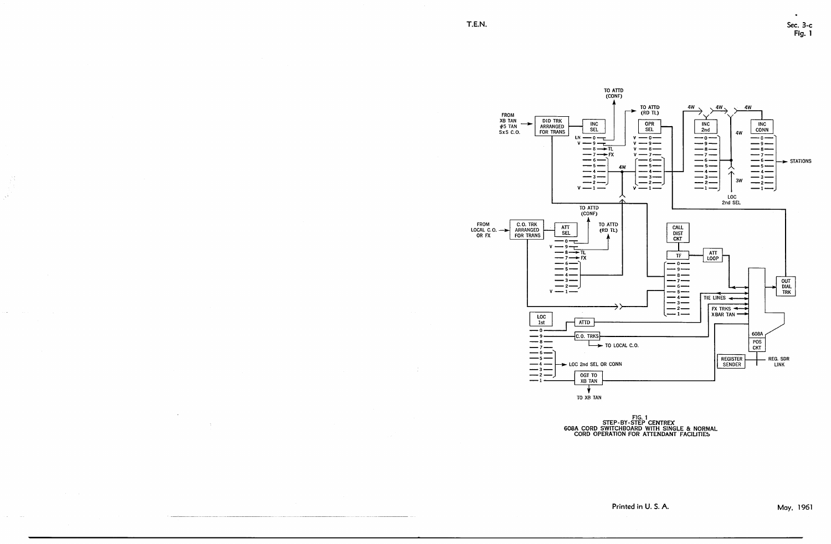$\langle \hat{f} \rangle$ 

المتقاربات الأعام

 $\epsilon$  and  $\epsilon$  , and

 $\sim 10^7$ 



FIG. 1<br>STEP-BY-STEP CENTREX 608A CORD SWITCHBOARD WITH SINGLE & NORMAL<br>CORD OPERATION FOR ATTENDANT FACILITIES

Printed in U.S. A.

May, 1961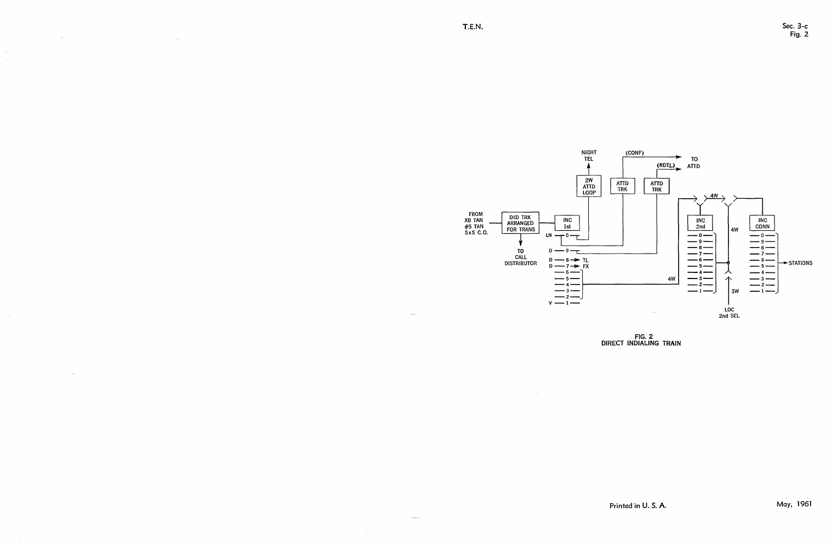

FIG. 2 DIRECT **INDIALING TRAIN** 

Printed in U. S. A.

Sec. 3-c Fig. 2

May, 1961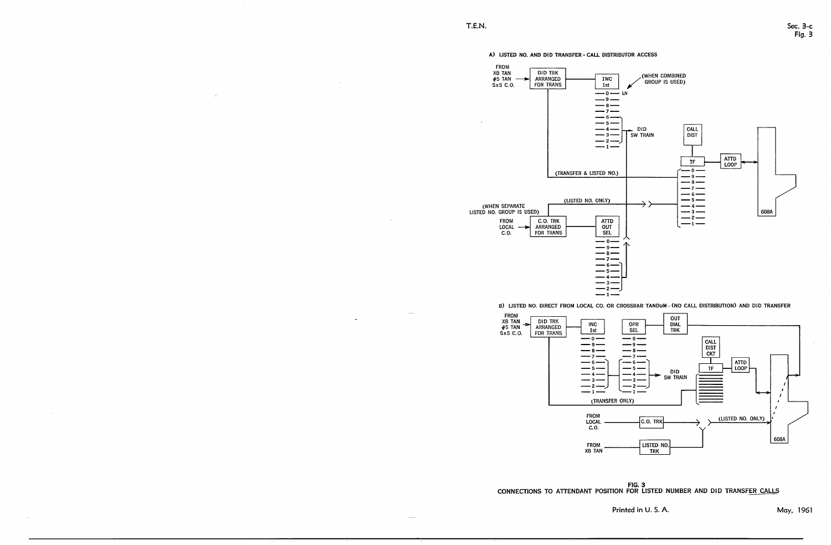#### A) LISTED NO. AND DID TRANSFER - CALL DISTRIBUTOR ACCESS

| <b>FROM</b>   |                 |     |
|---------------|-----------------|-----|
| <b>XB TAN</b> | DID TRK         |     |
| $#5$ TAN      | <b>ARRANGED</b> | 1WC |
| SxS C.O.      | FOR TRANS       | 1st |
|               |                 | Ο   |
|               |                 | - 9 |
|               |                 | 8   |
|               |                 |     |
|               |                 | 6   |
|               |                 | 5   |
|               |                 |     |
|               |                 | з   |
|               |                 | 2   |
|               |                 | п   |
|               |                 |     |
|               |                 |     |
|               |                 |     |

## ..\_..;;.(T\_RA\_NS\_F\_E\_R\_&\_L\_IS\_T\_E\_D\_N\_0..;..)\_1-- \_\_\_\_\_ ...; -- g \_



B) LISTED NO. DIRECT FROM LOCAL CO. OR CROSSBAR TANDUM - (NO CALL DISTRIBUTION) AND DID TRANSFER

|                                             |          |                       | (LISTED NO. ONLY) |                                  |
|---------------------------------------------|----------|-----------------------|-------------------|----------------------------------|
| (WHEN SEPARATE<br>LISTED NO. GROUP IS USED) |          |                       |                   |                                  |
| <b>FROM</b><br>LOCAL<br>C.0.                | ARRANGED | C.O. TRK<br>FOR TRANS |                   | <b>ATTD</b><br>OUT<br><b>SEL</b> |
|                                             |          |                       |                   | O                                |
|                                             |          |                       |                   | 9                                |
|                                             |          |                       |                   | я                                |
|                                             |          |                       |                   |                                  |
|                                             |          |                       |                   |                                  |
|                                             |          |                       |                   |                                  |
|                                             |          |                       |                   |                                  |
|                                             |          |                       |                   |                                  |
|                                             |          |                       |                   |                                  |





Printed in U.S.A. May, 1961